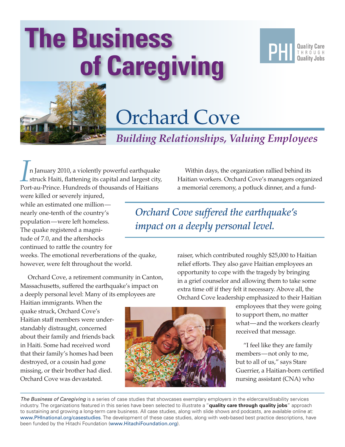# **The Business of Caregiving**





# Orchard Cove

*Building Relationships, Valuing Employees*

*I*n January 2010, a violently powerful earthquake struck Haiti, flattening its capital and largest city, Port-au-Prince. Hundreds of thousands of Haitians

were killed or severely injured, while an estimated one million nearly one-tenth of the country's population—were left homeless. The quake registered a magnitude of 7.0, and the aftershocks continued to rattle the country for

weeks. The emotional reverberations of the quake, however, were felt throughout the world.

Orchard Cove, a retirement community in Canton, Massachusetts, suffered the earthquake's impact on a deeply personal level: Many of its employees are

Haitian immigrants. When the quake struck, Orchard Cove's Haitian staff members were understandably distraught, concerned about their family and friends back in Haiti. Some had received word that their family's homes had been destroyed, or a cousin had gone missing, or their brother had died. Orchard Cove was devastated.



Within days, the organization rallied behind its Haitian workers. Orchard Cove's managers organized a memorial ceremony, a potluck dinner, and a fund-

*Orchard Cove suffered the earthquake's impact on a deeply personal level.*

> raiser, which contributed roughly \$25,000 to Haitian relief efforts. They also gave Haitian employees an opportunity to cope with the tragedy by bringing in a grief counselor and allowing them to take some extra time off if they felt it necessary. Above all, the Orchard Cove leadership emphasized to their Haitian

> > employees that they were going to support them, no matter what—and the workers clearly received that message.

"I feel like they are family members—not only to me, but to all of us," says Stare Guerrier, a Haitian-born certified nursing assistant (CNA) who

*The Business of Caregiving* is a series of case studies that showcases exemplary employers in the eldercare/disability services industry. The organizations featured in this series have been selected to illustrate a "**quality care through quality jobs**" approach to sustaining and growing a long-term care business. All case studies, along with slide shows and podcasts, are available online at: <www.PHInational.org/casestudies>. The development of these case studies, along with web-based best practice descriptions, have been funded by the Hitachi Foundation (<www.HitachiFoundation.org>).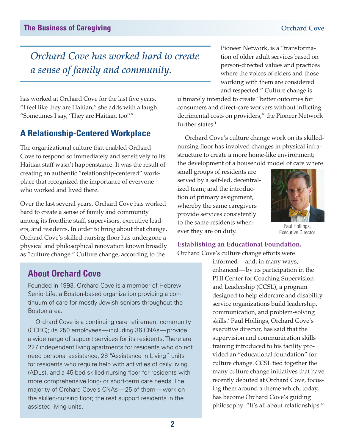## *Orchard Cove has worked hard to create a sense of family and community.*

Pioneer Network, is a "transformation of older adult services based on person-directed values and practices where the voices of elders and those working with them are considered

has worked at Orchard Cove for the last five years. "I feel like they are Haitian," she adds with a laugh. "Sometimes I say, 'They are Haitian, too!'"

### **A Relationship-Centered Workplace**

The organizational culture that enabled Orchard Cove to respond so immediately and sensitively to its Haitian staff wasn't happenstance. It was the result of creating an authentic "relationship-centered" workplace that recognized the importance of everyone who worked and lived there.

Over the last several years, Orchard Cove has worked hard to create a sense of family and community among its frontline staff, supervisors, executive leaders, and residents. In order to bring about that change, Orchard Cove's skilled-nursing floor has undergone a physical and philosophical renovation known broadly as "culture change." Culture change, according to the

and respected." Culture change is ultimately intended to create "better outcomes for consumers and direct-care workers without inflicting detrimental costs on providers," the Pioneer Network further states.<sup>1</sup>

Orchard Cove's culture change work on its skillednursing floor has involved changes in physical infrastructure to create a more home-like environment; the development of a household model of care where

small groups of residents are served by a self-led, decentralized team; and the introduction of primary assignment, whereby the same caregivers provide services consistently to the same residents whenever they are on duty.



Paul Hollings, Executive Director

### **Establishing an Educational Foundation.**

Orchard Cove's culture change efforts were

### **About Orchard Cove**

Founded in 1993, Orchard Cove is a member of Hebrew SeniorLife, a Boston-based organization providing a continuum of care for mostly Jewish seniors throughout the Boston area.

Orchard Cove is a continuing care retirement community (CCRC); its 250 employees—including 36 CNAs—provide a wide range of support services for its residents. There are 227 independent living apartments for residents who do not need personal assistance, 28 "Assistance in Living" units for residents who require help with activities of daily living (ADLs), and a 45-bed skilled-nursing floor for residents with more comprehensive long- or short-term care needs. The majority of Orchard Cove's CNAs—25 of them—work on the skilled-nursing floor; the rest support residents in the assisted living units.

informed—and, in many ways, enhanced—by its participation in the PHI Center for Coaching Supervision and Leadership (CCSL), a program designed to help eldercare and disability service organizations build leadership, communication, and problem-solving skills.<sup>2</sup> Paul Hollings, Orchard Cove's executive director, has said that the supervision and communication skills training introduced to his facility provided an "educational foundation" for culture change. CCSL tied together the many culture change initiatives that have recently debuted at Orchard Cove, focusing them around a theme which, today, has become Orchard Cove's guiding philosophy: "It's all about relationships."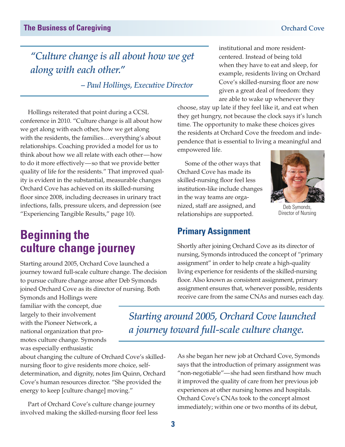# *"Culture change is all about how we get*

*– Paul Hollings, Executive Director*

institutional and more residentcentered. Instead of being told when they have to eat and sleep, for example, residents living on Orchard Cove's skilled-nursing floor are now given a great deal of freedom: they are able to wake up whenever they

choose, stay up late if they feel like it, and eat when they get hungry, not because the clock says it's lunch time. The opportunity to make these choices gives the residents at Orchard Cove the freedom and independence that is essential to living a meaningful and empowered life.

Some of the other ways that Orchard Cove has made its skilled-nursing floor feel less institution-like include changes in the way teams are organized, staff are assigned, and relationships are supported.



Director of Nursing

*along with each other."*

Hollings reiterated that point during a CCSL conference in 2010. "Culture change is all about how we get along with each other, how we get along with the residents, the families…everything's about relationships. Coaching provided a model for us to think about how we all relate with each other—how to do it more effectively—so that we provide better quality of life for the residents." That improved quality is evident in the substantial, measurable changes Orchard Cove has achieved on its skilled-nursing floor since 2008, including decreases in urinary tract infections, falls, pressure ulcers, and depression (see "Experiencing Tangible Results," page 10).

# **Beginning the culture change journey**

Starting around 2005, Orchard Cove launched a journey toward full-scale culture change. The decision to pursue culture change arose after Deb Symonds joined Orchard Cove as its director of nursing. Both

Symonds and Hollings were familiar with the concept, due largely to their involvement with the Pioneer Network, a national organization that promotes culture change. Symonds was especially enthusiastic

about changing the culture of Orchard Cove's skillednursing floor to give residents more choice, selfdetermination, and dignity, notes Jim Quinn, Orchard Cove's human resources director. "She provided the energy to keep [culture change] moving."

Part of Orchard Cove's culture change journey involved making the skilled-nursing floor feel less **Primary Assignment**

Shortly after joining Orchard Cove as its director of nursing, Symonds introduced the concept of "primary assignment" in order to help create a high-quality living experience for residents of the skilled-nursing floor. Also known as consistent assignment, primary assignment ensures that, whenever possible, residents receive care from the same CNAs and nurses each day.

*Starting around 2005, Orchard Cove launched a journey toward full-scale culture change.* 

> As she began her new job at Orchard Cove, Symonds says that the introduction of primary assignment was "non-negotiable"—she had seen firsthand how much it improved the quality of care from her previous job experiences at other nursing homes and hospitals. Orchard Cove's CNAs took to the concept almost immediately; within one or two months of its debut,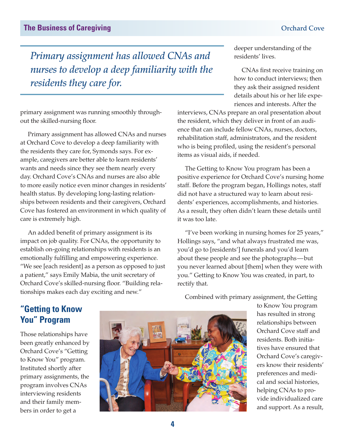*Primary assignment has allowed CNAs and nurses to develop a deep familiarity with the residents they care for.* 

primary assignment was running smoothly throughout the skilled-nursing floor.

Primary assignment has allowed CNAs and nurses at Orchard Cove to develop a deep familiarity with the residents they care for, Symonds says. For example, caregivers are better able to learn residents' wants and needs since they see them nearly every day. Orchard Cove's CNAs and nurses are also able to more easily notice even minor changes in residents' health status. By developing long-lasting relationships between residents and their caregivers, Orchard Cove has fostered an environment in which quality of care is extremely high.

An added benefit of primary assignment is its impact on job quality. For CNAs, the opportunity to establish on-going relationships with residents is an emotionally fulfilling and empowering experience. "We see [each resident] as a person as opposed to just a patient," says Emily Mabia, the unit secretary of Orchard Cove's skilled-nursing floor. "Building relationships makes each day exciting and new."

deeper understanding of the residents' lives.

CNAs first receive training on how to conduct interviews; then they ask their assigned resident details about his or her life experiences and interests. After the

interviews, CNAs prepare an oral presentation about the resident, which they deliver in front of an audience that can include fellow CNAs, nurses, doctors, rehabilitation staff, administrators, and the resident who is being profiled, using the resident's personal items as visual aids, if needed.

The Getting to Know You program has been a positive experience for Orchard Cove's nursing home staff. Before the program began, Hollings notes, staff did not have a structured way to learn about residents' experiences, accomplishments, and histories. As a result, they often didn't learn these details until it was too late.

"I've been working in nursing homes for 25 years," Hollings says, "and what always frustrated me was, you'd go to [residents'] funerals and you'd learn about these people and see the photographs—but you never learned about [them] when they were with you." Getting to Know You was created, in part, to rectify that.

### **"Getting to Know You" Program**

Those relationships have been greatly enhanced by Orchard Cove's "Getting to Know You" program. Instituted shortly after primary assignments, the program involves CNAs interviewing residents and their family members in order to get a



Combined with primary assignment, the Getting

to Know You program has resulted in strong relationships between Orchard Cove staff and residents. Both initiatives have ensured that Orchard Cove's caregivers know their residents' preferences and medical and social histories, helping CNAs to provide individualized care and support. As a result,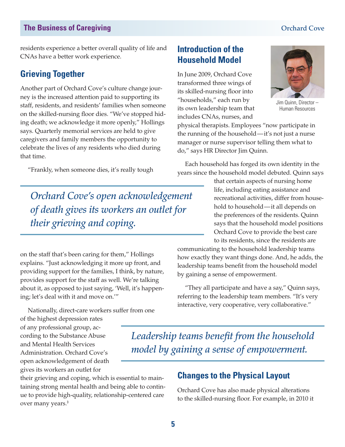residents experience a better overall quality of life and CNAs have a better work experience.

### **Grieving Together**

Another part of Orchard Cove's culture change journey is the increased attention paid to supporting its staff, residents, and residents' families when someone on the skilled-nursing floor dies. "We've stopped hiding death; we acknowledge it more openly," Hollings says. Quarterly memorial services are held to give caregivers and family members the opportunity to celebrate the lives of any residents who died during that time.

"Frankly, when someone dies, it's really tough

*Orchard Cove's open acknowledgement of death gives its workers an outlet for their grieving and coping.* 

on the staff that's been caring for them," Hollings explains. "Just acknowledging it more up front, and providing support for the families, I think, by nature, provides support for the staff as well. We're talking about it, as opposed to just saying, 'Well, it's happening; let's deal with it and move on.'"

Nationally, direct-care workers suffer from one

of the highest depression rates of any professional group, according to the Substance Abuse and Mental Health Services Administration. Orchard Cove's open acknowledgement of death gives its workers an outlet for

their grieving and coping, which is essential to maintaining strong mental health and being able to continue to provide high-quality, relationship-centered care over many years.<sup>3</sup>

### **Introduction of the Household Model**

In June 2009, Orchard Cove transformed three wings of its skilled-nursing floor into "households," each run by its own leadership team that includes CNAs, nurses, and



Jim Quinn, Director – Human Resources

physical therapists. Employees "now participate in the running of the household—it's not just a nurse manager or nurse supervisor telling them what to do," says HR Director Jim Quinn.

Each household has forged its own identity in the years since the household model debuted. Quinn says

> that certain aspects of nursing home life, including eating assistance and recreational activities, differ from household to household—it all depends on the preferences of the residents. Quinn says that the household model positions Orchard Cove to provide the best care to its residents, since the residents are

communicating to the household leadership teams how exactly they want things done. And, he adds, the leadership teams benefit from the household model by gaining a sense of empowerment.

"They all participate and have a say," Quinn says, referring to the leadership team members. "It's very interactive, very cooperative, very collaborative."

*Leadership teams benefit from the household model by gaining a sense of empowerment.* 

### **Changes to the Physical Layout**

Orchard Cove has also made physical alterations to the skilled-nursing floor. For example, in 2010 it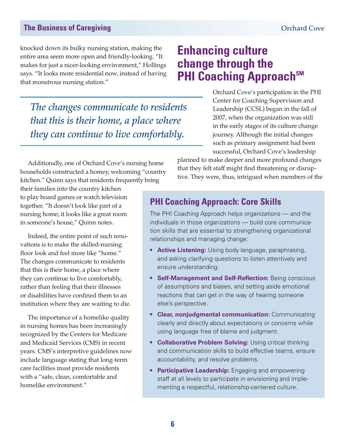### **The Business of Caregiving Cover 2012 12:30 The Business of Caregiving Cover 2013**

knocked down its bulky nursing station, making the entire area seem more open and friendly-looking. "It makes for just a nicer-looking environment," Hollings says. "It looks more residential now, instead of having that monstrous nursing station."

*The changes communicate to residents that this is their home, a place where they can continue to live comfortably.*

Additionally, one of Orchard Cove's nursing home households constructed a homey, welcoming "country kitchen." Quinn says that residents frequently bring

their families into the country kitchen to play board games or watch television together. "It doesn't look like part of a nursing home; it looks like a great room in someone's house," Quinn notes.

Indeed, the entire point of such renovations is to make the skilled-nursing floor look and feel more like "home." The changes communicate to residents that this is their home, a place where they can continue to live comfortably, rather than feeling that their illnesses or disabilities have confined them to an institution where they are waiting to die.

The importance of a homelike quality in nursing homes has been increasingly recognized by the Centers for Medicare and Medicaid Services (CMS) in recent years. CMS's interpretive guidelines now include language stating that long-term care facilities must provide residents with a "safe, clean, comfortable and homelike environment."

## **Enhancing culture change through the PHI Coaching Approach**SM

Orchard Cove's participation in the PHI Center for Coaching Supervision and Leadership (CCSL) began in the fall of 2007, when the organization was still in the early stages of its culture change journey. Although the initial changes such as primary assignment had been successful, Orchard Cove's leadership

planned to make deeper and more profound changes that they felt staff might find threatening or disruptive. They were, thus, intrigued when members of the

### **PHI Coaching Approach: Core Skills**

The PHI Coaching Approach helps organizations — and the individuals in those organizations — build core communication skills that are essential to strengthening organizational relationships and managing change:

- **Active Listening:** Using body language, paraphrasing, and asking clarifying questions to listen attentively and ensure understanding.
- **Self-Management and Self-Reflection: Being conscious** of assumptions and biases, and setting aside emotional reactions that can get in the way of hearing someone else's perspective.
- **Clear, nonjudgmental communication:** Communicating clearly and directly about expectations or concerns while using language free of blame and judgment.
- **Collaborative Problem Solving:** Using critical thinking and communication skills to build effective teams, ensure accountability, and resolve problems.
- **Participative Leadership:** Engaging and empowering staff at all levels to participate in envisioning and implementing a respectful, relationship-centered culture.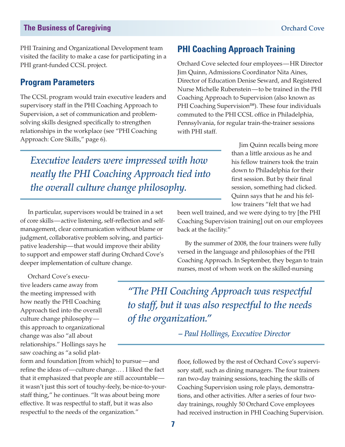PHI Training and Organizational Development team visited the facility to make a case for participating in a PHI grant-funded CCSL project.

### **Program Parameters**

The CCSL program would train executive leaders and supervisory staff in the PHI Coaching Approach to Supervision, a set of communication and problemsolving skills designed specifically to strengthen relationships in the workplace (see "PHI Coaching Approach: Core Skills," page 6).

### **PHI Coaching Approach Training**

Orchard Cove selected four employees—HR Director Jim Quinn, Admissions Coordinator Nita Aines, Director of Education Denise Seward, and Registered Nurse Michelle Rubenstein—to be trained in the PHI Coaching Approach to Supervision (also known as PHI Coaching Supervision<sup>SM</sup>). These four individuals commuted to the PHI CCSL office in Philadelphia, Pennsylvania, for regular train-the-trainer sessions with PHI staff.

*Executive leaders were impressed with how neatly the PHI Coaching Approach tied into the overall culture change philosophy.*

In particular, supervisors would be trained in a set of core skills—active listening, self-reflection and selfmanagement, clear communication without blame or judgment, collaborative problem solving, and participative leadership—that would improve their ability to support and empower staff during Orchard Cove's deeper implementation of culture change.

Orchard Cove's executive leaders came away from the meeting impressed with how neatly the PHI Coaching Approach tied into the overall culture change philosophy this approach to organizational change was also "all about relationships." Hollings says he saw coaching as "a solid plat-

form and foundation [from which] to pursue—and refine the ideas of—culture change… . I liked the fact that it emphasized that people are still accountable it wasn't just this sort of touchy-feely, be-nice-to-yourstaff thing," he continues. "It was about being more effective. It was respectful to staff, but it was also respectful to the needs of the organization."

Jim Quinn recalls being more than a little anxious as he and his fellow trainers took the train down to Philadelphia for their first session. But by their final session, something had clicked. Quinn says that he and his fellow trainers "felt that we had

been well trained, and we were dying to try [the PHI Coaching Supervision training] out on our employees back at the facility."

By the summer of 2008, the four trainers were fully versed in the language and philosophies of the PHI Coaching Approach. In September, they began to train nurses, most of whom work on the skilled-nursing

*"The PHI Coaching Approach was respectful to staff, but it was also respectful to the needs of the organization."*

*– Paul Hollings, Executive Director*

floor, followed by the rest of Orchard Cove's supervisory staff, such as dining managers. The four trainers ran two-day training sessions, teaching the skills of Coaching Supervision using role plays, demonstrations, and other activities. After a series of four twoday trainings, roughly 50 Orchard Cove employees had received instruction in PHI Coaching Supervision.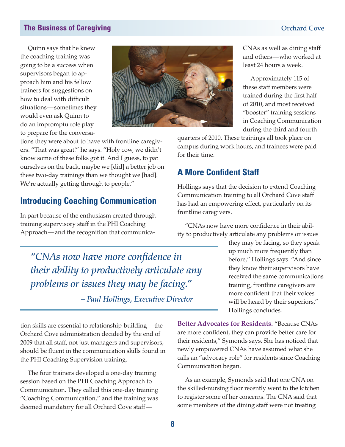Quinn says that he knew the coaching training was going to be a success when supervisors began to approach him and his fellow trainers for suggestions on how to deal with difficult situations—sometimes they would even ask Quinn to do an impromptu role play to prepare for the conversa-



tions they were about to have with frontline caregivers. "That was great!" he says. "Holy cow, we didn't know some of these folks got it. And I guess, to pat ourselves on the back, maybe we [did] a better job on these two-day trainings than we thought we [had]. We're actually getting through to people."

### **Introducing Coaching Communication**

In part because of the enthusiasm created through training supervisory staff in the PHI Coaching Approach—and the recognition that communica-

*"CNAs now have more confidence in their ability to productively articulate any problems or issues they may be facing."*

*– Paul Hollings, Executive Director*

tion skills are essential to relationship-building—the Orchard Cove administration decided by the end of 2009 that all staff, not just managers and supervisors, should be fluent in the communication skills found in the PHI Coaching Supervision training.

The four trainers developed a one-day training session based on the PHI Coaching Approach to Communication. They called this one-day training "Coaching Communication," and the training was deemed mandatory for all Orchard Cove staffand others—who worked at least 24 hours a week. Approximately 115 of

CNAs as well as dining staff

these staff members were trained during the first half of 2010, and most received "booster" training sessions in Coaching Communication during the third and fourth

quarters of 2010. These trainings all took place on campus during work hours, and trainees were paid for their time.

### **A More Confident Staff**

Hollings says that the decision to extend Coaching Communication training to all Orchard Cove staff has had an empowering effect, particularly on its frontline caregivers.

"CNAs now have more confidence in their ability to productively articulate any problems or issues

> they may be facing, so they speak up much more frequently than before," Hollings says. "And since they know their supervisors have received the same communications training, frontline caregivers are more confident that their voices will be heard by their superiors," Hollings concludes.

**Better Advocates for Residents.** "Because CNAs are more confident, they can provide better care for their residents," Symonds says. She has noticed that newly empowered CNAs have assumed what she calls an "advocacy role" for residents since Coaching Communication began.

As an example, Symonds said that one CNA on the skilled-nursing floor recently went to the kitchen to register some of her concerns. The CNA said that some members of the dining staff were not treating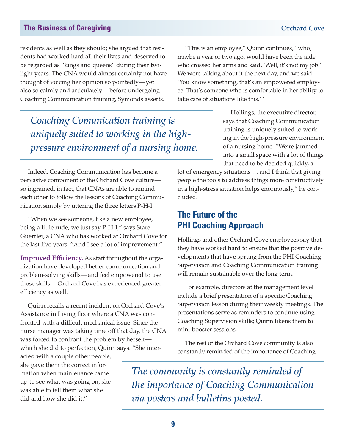residents as well as they should; she argued that residents had worked hard all their lives and deserved to be regarded as "kings and queens" during their twilight years. The CNA would almost certainly not have thought of voicing her opinion so pointedly—yet also so calmly and articulately—before undergoing Coaching Communication training, Symonds asserts.

*Coaching Comunication training is uniquely suited to working in the highpressure environment of a nursing home.* 

Indeed, Coaching Communication has become a pervasive component of the Orchard Cove culture so ingrained, in fact, that CNAs are able to remind each other to follow the lessons of Coaching Communication simply by uttering the three letters P-H-I.

"When we see someone, like a new employee, being a little rude, we just say P-H-I," says Stare Guerrier, a CNA who has worked at Orchard Cove for the last five years. "And I see a lot of improvement."

**Improved Efficiency.** As staff throughout the organization have developed better communication and problem-solving skills—and feel empowered to use those skills—Orchard Cove has experienced greater efficiency as well.

Quinn recalls a recent incident on Orchard Cove's Assistance in Living floor where a CNA was confronted with a difficult mechanical issue. Since the nurse manager was taking time off that day, the CNA was forced to confront the problem by herself which she did to perfection, Quinn says. "She inter-

acted with a couple other people, she gave them the correct information when maintenance came up to see what was going on, she was able to tell them what she did and how she did it."

"This is an employee," Quinn continues, "who, maybe a year or two ago, would have been the aide who crossed her arms and said, 'Well, it's not my job.' We were talking about it the next day, and we said: 'You know something, that's an empowered employee. That's someone who is comfortable in her ability to take care of situations like this.'"

> Hollings, the executive director, says that Coaching Communication training is uniquely suited to working in the high-pressure environment of a nursing home. "We're jammed into a small space with a lot of things that need to be decided quickly, a

lot of emergency situations … and I think that giving people the tools to address things more constructively in a high-stress situation helps enormously," he concluded.

### **The Future of the PHI Coaching Approach**

Hollings and other Orchard Cove employees say that they have worked hard to ensure that the positive developments that have sprung from the PHI Coaching Supervision and Coaching Communication training will remain sustainable over the long term.

For example, directors at the management level include a brief presentation of a specific Coaching Supervision lesson during their weekly meetings. The presentations serve as reminders to continue using Coaching Supervision skills; Quinn likens them to mini-booster sessions.

The rest of the Orchard Cove community is also constantly reminded of the importance of Coaching

*The community is constantly reminded of the importance of Coaching Communication via posters and bulletins posted.*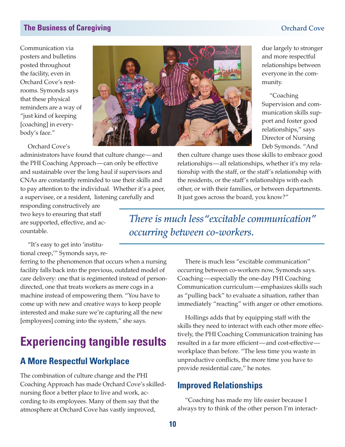Communication via posters and bulletins posted throughout the facility, even in Orchard Cove's restrooms. Symonds says that these physical reminders are a way of "just kind of keeping [coaching] in everybody's face."



Orchard Cove's

administrators have found that culture change—and the PHI Coaching Approach—can only be effective and sustainable over the long haul if supervisors and CNAs are constantly reminded to use their skills and to pay attention to the individual. Whether it's a peer, a supervisee, or a resident, listening carefully and

responding constructively are two keys to ensuring that staff are supported, effective, and accountable.

then culture change uses those skills to embrace good relationships—all relationships, whether it's my relationship with the staff, or the staff's relationship with the residents, or the staff's relationships with each other, or with their families, or between departments. It just goes across the board, you know?"

*There is much less "excitable communication" occurring between co-workers.*

"It's easy to get into 'institutional creep,'" Symonds says, re-

ferring to the phenomenon that occurs when a nursing facility falls back into the previous, outdated model of care delivery: one that is regimented instead of persondirected, one that treats workers as mere cogs in a machine instead of empowering them. "You have to come up with new and creative ways to keep people interested and make sure we're capturing all the new [employees] coming into the system," she says.

# **Experiencing tangible results**

### **A More Respectful Workplace**

The combination of culture change and the PHI Coaching Approach has made Orchard Cove's skillednursing floor a better place to live and work, according to its employees. Many of them say that the atmosphere at Orchard Cove has vastly improved,

There is much less "excitable communication" occurring between co-workers now, Symonds says. Coaching—especially the one-day PHI Coaching Communication curriculum—emphasizes skills such as "pulling back" to evaluate a situation, rather than immediately "reacting" with anger or other emotions.

Hollings adds that by equipping staff with the skills they need to interact with each other more effectively, the PHI Coaching Communication training has resulted in a far more efficient—and cost-effective workplace than before. "The less time you waste in unproductive conflicts, the more time you have to provide residential care," he notes.

### **Improved Relationships**

"Coaching has made my life easier because I always try to think of the other person I'm interact-

due largely to stronger and more respectful relationships between everyone in the community.

"Coaching Supervision and communication skills support and foster good relationships," says Director of Nursing Deb Symonds. "And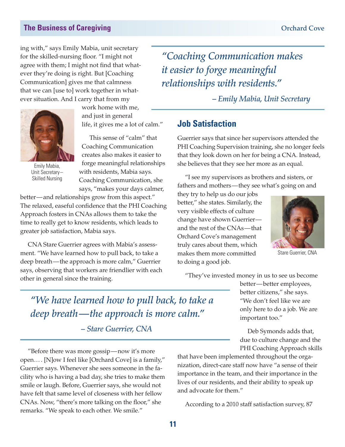ing with," says Emily Mabia, unit secretary for the skilled-nursing floor. "I might not agree with them; I might not find that whatever they're doing is right. But [Coaching Communication] gives me that calmness that we can [use to] work together in whatever situation. And I carry that from my



Emily Mabia, Unit Secretary– Skilled Nursing

work home with me, and just in general life, it gives me a lot of calm."

This sense of "calm" that Coaching Communication creates also makes it easier to forge meaningful relationships with residents, Mabia says. Coaching Communication, she says, "makes your days calmer,

better—and relationships grow from this aspect." The relaxed, easeful confidence that the PHI Coaching Approach fosters in CNAs allows them to take the time to really get to know residents, which leads to greater job satisfaction, Mabia says.

CNA Stare Guerrier agrees with Mabia's assessment. "We have learned how to pull back, to take a deep breath—the approach is more calm," Guerrier says, observing that workers are friendlier with each other in general since the training.

*"Coaching Communication makes it easier to forge meaningful relationships with residents."*

*– Emily Mabia, Unit Secretary*

### **Job Satisfaction**

Guerrier says that since her supervisors attended the PHI Coaching Supervision training, she no longer feels that they look down on her for being a CNA. Instead, she believes that they see her more as an equal.

"I see my supervisors as brothers and sisters, or fathers and mothers—they see what's going on and

they try to help us do our jobs better," she states. Similarly, the very visible effects of culture change have shown Guerrier and the rest of the CNAs—that Orchard Cove's management truly cares about them, which makes them more committed to doing a good job.



Stare Guerrier, CNA

"They've invested money in us to see us become

*"We have learned how to pull back, to take a deep breath—the approach is more calm."*

*– Stare Guerrier, CNA*

"Before there was more gossip—now it's more open… . [N]ow I feel like [Orchard Cove] is a family," Guerrier says. Whenever she sees someone in the facility who is having a bad day, she tries to make them smile or laugh. Before, Guerrier says, she would not have felt that same level of closeness with her fellow CNAs. Now, "there's more talking on the floor," she remarks. "We speak to each other. We smile."

better—better employees, better citizens," she says. "We don't feel like we are only here to do a job. We are important too."

Deb Symonds adds that, due to culture change and the PHI Coaching Approach skills

that have been implemented throughout the organization, direct-care staff now have "a sense of their importance in the team, and their importance in the lives of our residents, and their ability to speak up and advocate for them."

According to a 2010 staff satisfaction survey, 87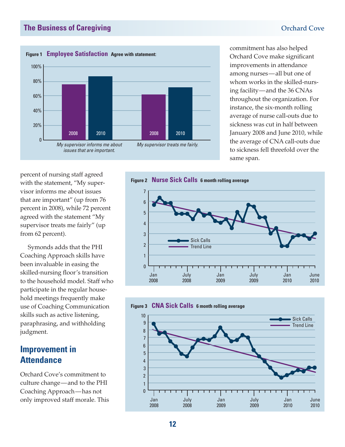

commitment has also helped Orchard Cove make significant improvements in attendance among nurses—all but one of whom works in the skilled-nursing facility—and the 36 CNAs throughout the organization. For instance, the six-month rolling average of nurse call-outs due to sickness was cut in half between January 2008 and June 2010, while the average of CNA call-outs due to sickness fell threefold over the same span.

percent of nursing staff agreed with the statement, "My supervisor informs me about issues that are important" (up from 76 percent in 2008), while 72 percent agreed with the statement "My supervisor treats me fairly" (up from 62 percent).

Symonds adds that the PHI Coaching Approach skills have been invaluable in easing the skilled-nursing floor's transition to the household model. Staff who participate in the regular household meetings frequently make use of Coaching Communication skills such as active listening, paraphrasing, and withholding judgment.

### **Improvement in Attendance**

Orchard Cove's commitment to culture change—and to the PHI Coaching Approach—has not only improved staff morale. This



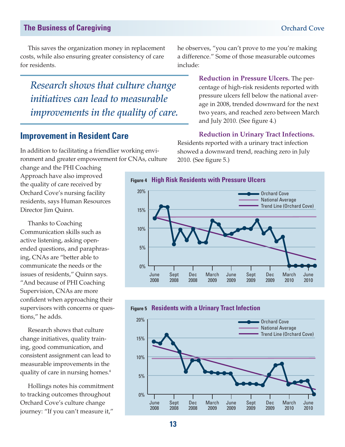This saves the organization money in replacement costs, while also ensuring greater consistency of care for residents.

*Research shows that culture change initiatives can lead to measurable improvements in the quality of care.*

### **Improvement in Resident Care**

In addition to facilitating a friendlier working environment and greater empowerment for CNAs, culture

change and the PHI Coaching Approach have also improved the quality of care received by Orchard Cove's nursing facility residents, says Human Resources Director Jim Quinn.

Thanks to Coaching Communication skills such as active listening, asking openended questions, and paraphrasing, CNAs are "better able to communicate the needs or the issues of residents," Quinn says. "And because of PHI Coaching Supervision, CNAs are more confident when approaching their supervisors with concerns or questions," he adds.

Research shows that culture change initiatives, quality training, good communication, and consistent assignment can lead to measurable improvements in the quality of care in nursing homes.<sup>4</sup>

Hollings notes his commitment to tracking outcomes throughout Orchard Cove's culture change journey: "If you can't measure it,"

he observes, "you can't prove to me you're making a difference." Some of those measurable outcomes include:

> **Reduction in Pressure Ulcers.** The percentage of high-risk residents reported with pressure ulcers fell below the national average in 2008, trended downward for the next two years, and reached zero between March and July 2010. (See figure 4.)

### **Reduction in Urinary Tract Infections.**

Residents reported with a urinary tract infection showed a downward trend, reaching zero in July 2010. (See figure 5.)



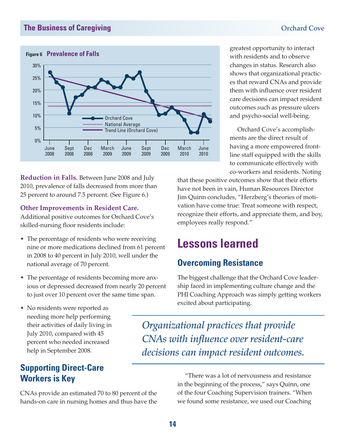

**Reduction in Falls.** Between June 2008 and July 2010, prevalence of falls decreased from more than 25 percent to around 7.5 percent. (See Figure 6.)

**Other Improvements in Resident Care.**

Additional positive outcomes for Orchard Cove's skilled-nursing floor residents include:

- The percentage of residents who were receiving nine or more medications declined from 61 percent in 2008 to 40 percent in July 2010, well under the national average of 70 percent.
- The percentage of residents becoming more anxious or depressed decreased from nearly 20 percent to just over 10 percent over the same time span.
- No residents were reported as needing more help performing their activities of daily living in July 2010, compared with 45 percent who needed increased help in September 2008.

### **Supporting Direct-Care Workers is Key**

CNAs provide an estimated 70 to 80 percent of the hands-on care in nursing homes and thus have the

greatest opportunity to interact with residents and to observe changes in status. Research also shows that organizational practices that reward CNAs and provide them with influence over resident care decisions can impact resident outcomes such as pressure ulcers and psycho-social well-being.

Orchard Cove's accomplishments are the direct result of having a more empowered frontline staff equipped with the skills to communicate effectively with co-workers and residents. Noting

that these positive outcomes show that their efforts have not been in vain, Human Resources Director Jim Quinn concludes, "Herzberg's theories of motivation have come true: Treat someone with respect, recognize their efforts, and appreciate them, and boy, employees really respond."

## **Lessons learned**

### **Overcoming Resistance**

The biggest challenge that the Orchard Cove leadership faced in implementing culture change and the PHI Coaching Approach was simply getting workers excited about participating.

*Organizational practices that provide CNAs with influence over resident-care decisions can impact resident outcomes.* 

> "There was a lot of nervousness and resistance in the beginning of the process," says Quinn, one of the four Coaching Supervision trainers. "When we found some resistance, we used our Coaching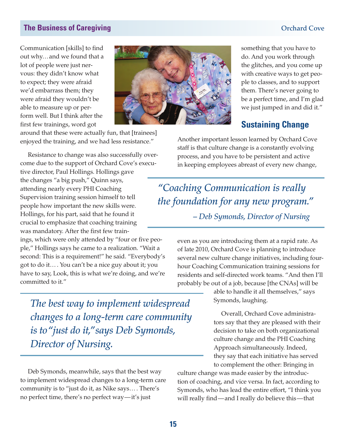Communication [skills] to find out why…and we found that a lot of people were just nervous: they didn't know what to expect; they were afraid we'd embarrass them; they were afraid they wouldn't be able to measure up or perform well. But I think after the first few trainings, word got

committed to it."



around that these were actually fun, that [trainees] enjoyed the training, and we had less resistance."

Resistance to change was also successfully overcome due to the support of Orchard Cove's executive director, Paul Hollings. Hollings gave the changes "a big push," Quinn says, attending nearly every PHI Coaching Supervision training session himself to tell people how important the new skills were. Hollings, for his part, said that he found it crucial to emphasize that coaching training was mandatory. After the first few trainings, which were only attended by "four or five people," Hollings says he came to a realization. "Wait a second: This is a requirement!" he said. "Everybody's got to do it… . You can't be a nice guy about it; you have to say, Look, this is what we're doing, and we're

*The best way to implement widespread changes to a long-term care community is to "just do it," says Deb Symonds, Director of Nursing.*

Deb Symonds, meanwhile, says that the best way to implement widespread changes to a long-term care community is to "just do it, as Nike says… . There's no perfect time, there's no perfect way—it's just

something that you have to do. And you work through the glitches, and you come up with creative ways to get people to classes, and to support them. There's never going to be a perfect time, and I'm glad we just jumped in and did it."

### **Sustaining Change**

Another important lesson learned by Orchard Cove staff is that culture change is a constantly evolving process, and you have to be persistent and active in keeping employees abreast of every new change,

*"Coaching Communication is really the foundation for any new program." – Deb Symonds, Director of Nursing*

> even as you are introducing them at a rapid rate. As of late 2010, Orchard Cove is planning to introduce several new culture change initiatives, including fourhour Coaching Communication training sessions for residents and self-directed work teams. "And then I'll probably be out of a job, because [the CNAs] will be

> > able to handle it all themselves," says Symonds, laughing.

Overall, Orchard Cove administrators say that they are pleased with their decision to take on both organizational culture change and the PHI Coaching Approach simultaneously. Indeed, they say that each initiative has served to complement the other: Bringing in

culture change was made easier by the introduction of coaching, and vice versa. In fact, according to Symonds, who has lead the entire effort, "I think you will really find—and I really do believe this—that